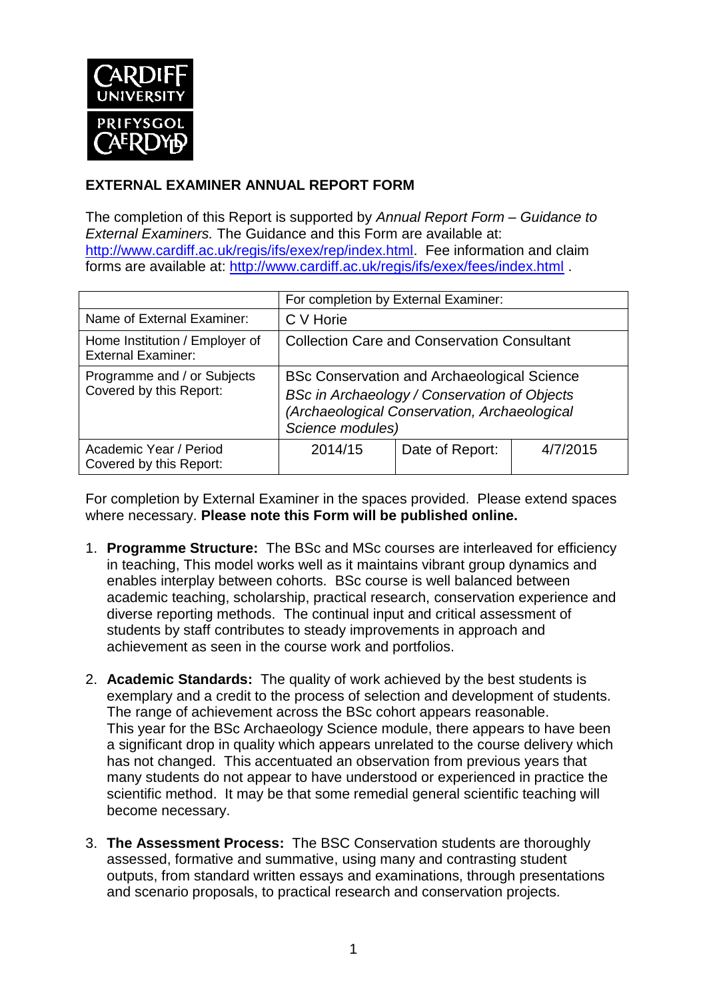

## **EXTERNAL EXAMINER ANNUAL REPORT FORM**

The completion of this Report is supported by *Annual Report Form – Guidance to External Examiners.* The Guidance and this Form are available at: [http://www.cardiff.ac.uk/regis/ifs/exex/rep/index.html.](http://www.cardiff.ac.uk/regis/ifs/exex/rep/index.html) Fee information and claim forms are available at:<http://www.cardiff.ac.uk/regis/ifs/exex/fees/index.html> .

|                                                             | For completion by External Examiner:                                                                                                                                   |                 |          |  |  |
|-------------------------------------------------------------|------------------------------------------------------------------------------------------------------------------------------------------------------------------------|-----------------|----------|--|--|
| Name of External Examiner:                                  | C V Horie                                                                                                                                                              |                 |          |  |  |
| Home Institution / Employer of<br><b>External Examiner:</b> | <b>Collection Care and Conservation Consultant</b>                                                                                                                     |                 |          |  |  |
| Programme and / or Subjects<br>Covered by this Report:      | <b>BSc Conservation and Archaeological Science</b><br>BSc in Archaeology / Conservation of Objects<br>(Archaeological Conservation, Archaeological<br>Science modules) |                 |          |  |  |
| Academic Year / Period<br>Covered by this Report:           | 2014/15                                                                                                                                                                | Date of Report: | 4/7/2015 |  |  |

For completion by External Examiner in the spaces provided. Please extend spaces where necessary. **Please note this Form will be published online.**

- 1. **Programme Structure:** The BSc and MSc courses are interleaved for efficiency in teaching, This model works well as it maintains vibrant group dynamics and enables interplay between cohorts. BSc course is well balanced between academic teaching, scholarship, practical research, conservation experience and diverse reporting methods. The continual input and critical assessment of students by staff contributes to steady improvements in approach and achievement as seen in the course work and portfolios.
- 2. **Academic Standards:** The quality of work achieved by the best students is exemplary and a credit to the process of selection and development of students. The range of achievement across the BSc cohort appears reasonable. This year for the BSc Archaeology Science module, there appears to have been a significant drop in quality which appears unrelated to the course delivery which has not changed. This accentuated an observation from previous years that many students do not appear to have understood or experienced in practice the scientific method. It may be that some remedial general scientific teaching will become necessary.
- 3. **The Assessment Process:** The BSC Conservation students are thoroughly assessed, formative and summative, using many and contrasting student outputs, from standard written essays and examinations, through presentations and scenario proposals, to practical research and conservation projects.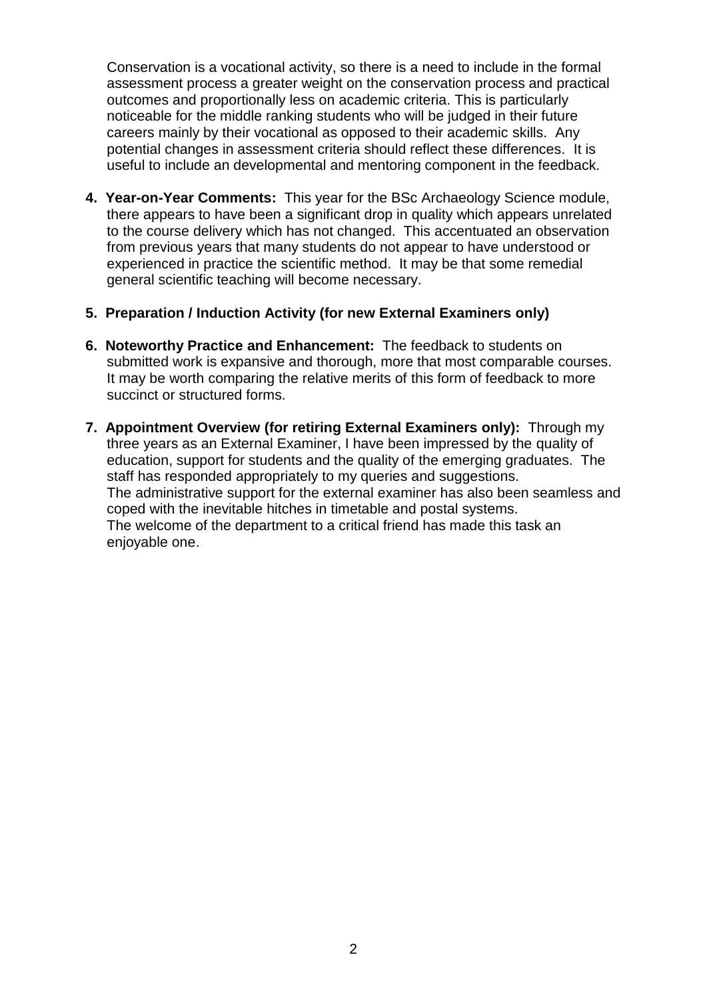Conservation is a vocational activity, so there is a need to include in the formal assessment process a greater weight on the conservation process and practical outcomes and proportionally less on academic criteria. This is particularly noticeable for the middle ranking students who will be judged in their future careers mainly by their vocational as opposed to their academic skills. Any potential changes in assessment criteria should reflect these differences. It is useful to include an developmental and mentoring component in the feedback.

**4. Year-on-Year Comments:** This year for the BSc Archaeology Science module, there appears to have been a significant drop in quality which appears unrelated to the course delivery which has not changed. This accentuated an observation from previous years that many students do not appear to have understood or experienced in practice the scientific method. It may be that some remedial general scientific teaching will become necessary.

## **5. Preparation / Induction Activity (for new External Examiners only)**

- **6. Noteworthy Practice and Enhancement:** The feedback to students on submitted work is expansive and thorough, more that most comparable courses. It may be worth comparing the relative merits of this form of feedback to more succinct or structured forms.
- **7. Appointment Overview (for retiring External Examiners only):** Through my three years as an External Examiner, I have been impressed by the quality of education, support for students and the quality of the emerging graduates. The staff has responded appropriately to my queries and suggestions. The administrative support for the external examiner has also been seamless and coped with the inevitable hitches in timetable and postal systems. The welcome of the department to a critical friend has made this task an enjoyable one.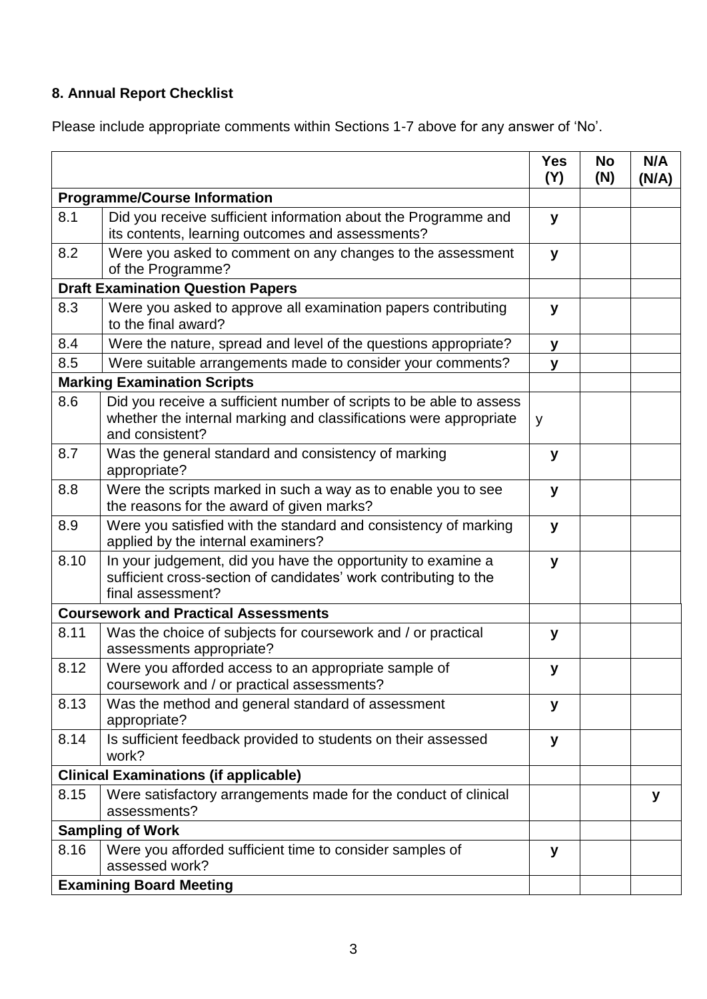## **8. Annual Report Checklist**

Please include appropriate comments within Sections 1-7 above for any answer of 'No'.

|                                              |                                                                                                                                                             | <b>Yes</b><br>(Y) | <b>No</b><br>(N) | N/A<br>(N/A) |
|----------------------------------------------|-------------------------------------------------------------------------------------------------------------------------------------------------------------|-------------------|------------------|--------------|
| <b>Programme/Course Information</b>          |                                                                                                                                                             |                   |                  |              |
| 8.1                                          | Did you receive sufficient information about the Programme and<br>its contents, learning outcomes and assessments?                                          | y                 |                  |              |
| 8.2                                          | Were you asked to comment on any changes to the assessment<br>of the Programme?                                                                             | y                 |                  |              |
| <b>Draft Examination Question Papers</b>     |                                                                                                                                                             |                   |                  |              |
| 8.3                                          | Were you asked to approve all examination papers contributing<br>to the final award?                                                                        | y                 |                  |              |
| 8.4                                          | Were the nature, spread and level of the questions appropriate?                                                                                             | y                 |                  |              |
| 8.5                                          | Were suitable arrangements made to consider your comments?                                                                                                  | y                 |                  |              |
|                                              | <b>Marking Examination Scripts</b>                                                                                                                          |                   |                  |              |
| 8.6                                          | Did you receive a sufficient number of scripts to be able to assess<br>whether the internal marking and classifications were appropriate<br>and consistent? | y                 |                  |              |
| 8.7                                          | Was the general standard and consistency of marking<br>appropriate?                                                                                         | у                 |                  |              |
| 8.8                                          | Were the scripts marked in such a way as to enable you to see<br>the reasons for the award of given marks?                                                  | y                 |                  |              |
| 8.9                                          | Were you satisfied with the standard and consistency of marking<br>applied by the internal examiners?                                                       | y                 |                  |              |
| 8.10                                         | In your judgement, did you have the opportunity to examine a<br>sufficient cross-section of candidates' work contributing to the<br>final assessment?       | y                 |                  |              |
| <b>Coursework and Practical Assessments</b>  |                                                                                                                                                             |                   |                  |              |
| 8.11                                         | Was the choice of subjects for coursework and / or practical<br>assessments appropriate?                                                                    | y                 |                  |              |
| 8.12                                         | Were you afforded access to an appropriate sample of<br>coursework and / or practical assessments?                                                          | у                 |                  |              |
| 8.13                                         | Was the method and general standard of assessment<br>appropriate?                                                                                           | У                 |                  |              |
| 8.14                                         | Is sufficient feedback provided to students on their assessed<br>work?                                                                                      | У                 |                  |              |
| <b>Clinical Examinations (if applicable)</b> |                                                                                                                                                             |                   |                  |              |
| 8.15                                         | Were satisfactory arrangements made for the conduct of clinical<br>assessments?                                                                             |                   |                  | У            |
|                                              | <b>Sampling of Work</b>                                                                                                                                     |                   |                  |              |
| 8.16                                         | Were you afforded sufficient time to consider samples of<br>assessed work?                                                                                  | y                 |                  |              |
|                                              | <b>Examining Board Meeting</b>                                                                                                                              |                   |                  |              |